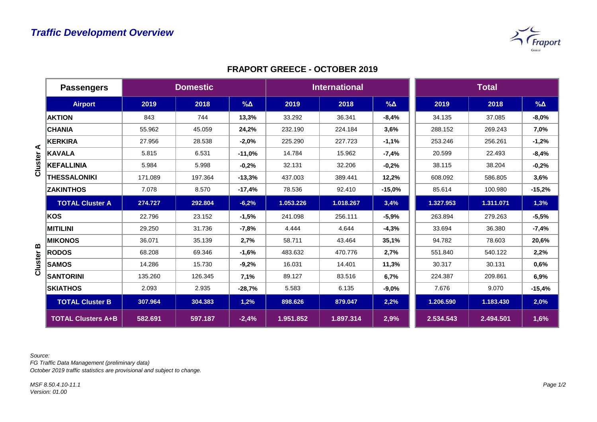

## **FRAPORT GREECE - OCTOBER 2019**

|         | <b>Passengers</b>         | <b>Domestic</b> |         |            | <b>International</b> |           |             | <b>Total</b> |           |             |
|---------|---------------------------|-----------------|---------|------------|----------------------|-----------|-------------|--------------|-----------|-------------|
|         | <b>Airport</b>            | 2019            | 2018    | $% \Delta$ | 2019                 | 2018      | $\% \Delta$ | 2019         | 2018      | $\% \Delta$ |
|         | <b>AKTION</b>             | 843             | 744     | 13,3%      | 33.292               | 36.341    | $-8,4%$     | 34.135       | 37.085    | $-8,0%$     |
| ⋖       | <b>CHANIA</b>             | 55.962          | 45.059  | 24,2%      | 232.190              | 224.184   | 3,6%        | 288.152      | 269.243   | 7,0%        |
|         | <b>KERKIRA</b>            | 27.956          | 28.538  | $-2,0%$    | 225.290              | 227.723   | $-1,1%$     | 253.246      | 256.261   | $-1,2%$     |
|         | <b>KAVALA</b>             | 5.815           | 6.531   | $-11,0%$   | 14.784               | 15.962    | $-7,4%$     | 20.599       | 22.493    | $-8,4%$     |
| Cluster | <b>KEFALLINIA</b>         | 5.984           | 5.998   | $-0,2%$    | 32.131               | 32.206    | $-0,2%$     | 38.115       | 38.204    | $-0,2%$     |
|         | <b>THESSALONIKI</b>       | 171.089         | 197.364 | $-13,3%$   | 437.003              | 389.441   | 12,2%       | 608.092      | 586.805   | 3,6%        |
|         | <b>ZAKINTHOS</b>          | 7.078           | 8.570   | $-17,4%$   | 78.536               | 92.410    | $-15,0%$    | 85.614       | 100.980   | $-15,2%$    |
|         | <b>TOTAL Cluster A</b>    | 274.727         | 292.804 | $-6,2%$    | 1.053.226            | 1.018.267 | 3,4%        | 1.327.953    | 1.311.071 | 1,3%        |
|         | KOS                       | 22.796          | 23.152  | $-1,5%$    | 241.098              | 256.111   | $-5,9%$     | 263.894      | 279.263   | $-5,5%$     |
|         | <b>MITILINI</b>           | 29.250          | 31.736  | $-7,8%$    | 4.444                | 4.644     | $-4,3%$     | 33.694       | 36.380    | $-7,4%$     |
|         | <b>MIKONOS</b>            | 36.071          | 35.139  | 2,7%       | 58.711               | 43.464    | 35,1%       | 94.782       | 78.603    | 20,6%       |
| m       | <b>RODOS</b>              | 68.208          | 69.346  | $-1,6%$    | 483.632              | 470.776   | 2,7%        | 551.840      | 540.122   | 2,2%        |
| Cluster | <b>SAMOS</b>              | 14.286          | 15.730  | $-9,2%$    | 16.031               | 14.401    | 11,3%       | 30.317       | 30.131    | 0,6%        |
|         | <b>SANTORINI</b>          | 135.260         | 126.345 | 7,1%       | 89.127               | 83.516    | 6,7%        | 224.387      | 209.861   | 6,9%        |
|         | <b>SKIATHOS</b>           | 2.093           | 2.935   | $-28,7%$   | 5.583                | 6.135     | $-9,0%$     | 7.676        | 9.070     | $-15,4%$    |
|         | <b>TOTAL Cluster B</b>    | 307.964         | 304.383 | 1,2%       | 898.626              | 879.047   | 2,2%        | 1.206.590    | 1.183.430 | 2,0%        |
|         | <b>TOTAL Clusters A+B</b> | 582.691         | 597.187 | $-2,4%$    | 1.951.852            | 1.897.314 | 2,9%        | 2.534.543    | 2.494.501 | 1,6%        |

*Source:* 

*FG Traffic Data Management (preliminary data)*

*October 2019 traffic statistics are provisional and subject to change.*

*MSF 8.50.4.10-11.1 Version: 01.00*